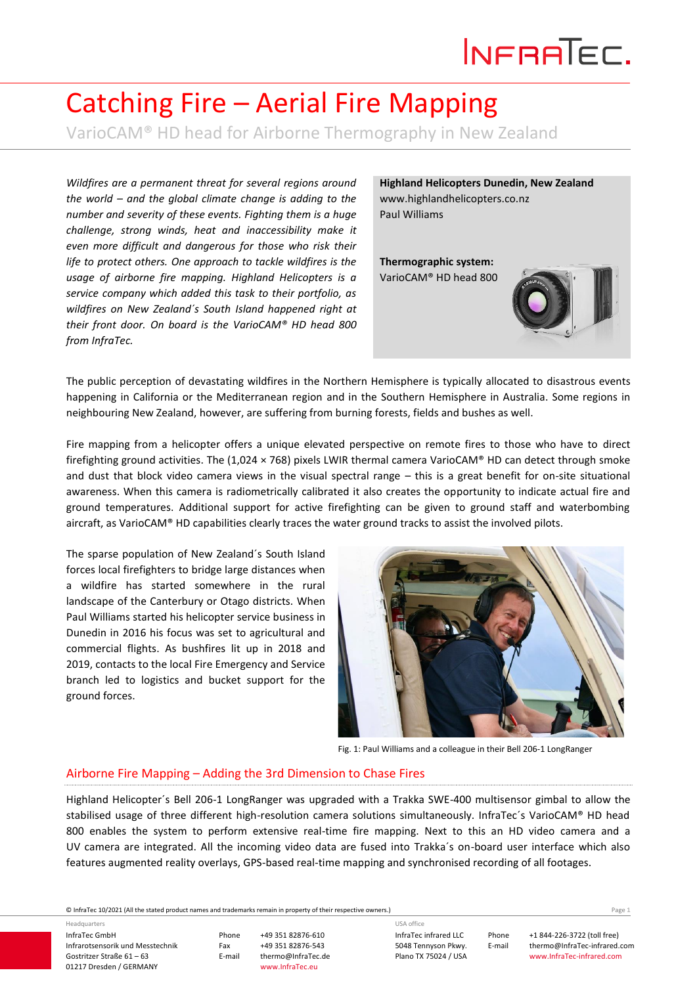# INFRATEC.

## Catching Fire – Aerial Fire Mapping

VarioCAM® HD head for Airborne Thermography in New Zealand

*Wildfires are a permanent threat for several regions around the world – and the global climate change is adding to the number and severity of these events. Fighting them is a huge challenge, strong winds, heat and inaccessibility make it even more difficult and dangerous for those who risk their life to protect others. One approach to tackle wildfires is the usage of airborne fire mapping. Highland Helicopters is a service company which added this task to their portfolio, as wildfires on New Zealand´s South Island happened right at their front door. On board is the VarioCAM® HD head 800 from InfraTec.*

**Highland Helicopters Dunedin, New Zealand** www.highlandhelicopters.co.nz Paul Williams

**Thermographic system:**  VarioCAM® HD head 800



The public perception of devastating wildfires in the Northern Hemisphere is typically allocated to disastrous events happening in California or the Mediterranean region and in the Southern Hemisphere in Australia. Some regions in neighbouring New Zealand, however, are suffering from burning forests, fields and bushes as well.

Fire mapping from a helicopter offers a unique elevated perspective on remote fires to those who have to direct firefighting ground activities. The (1,024  $\times$  768) pixels LWIR thermal camera VarioCAM® HD can detect through smoke and dust that block video camera views in the visual spectral range – this is a great benefit for on-site situational awareness. When this camera is radiometrically calibrated it also creates the opportunity to indicate actual fire and ground temperatures. Additional support for active firefighting can be given to ground staff and waterbombing aircraft, as VarioCAM® HD capabilities clearly traces the water ground tracks to assist the involved pilots.

The sparse population of New Zealand´s South Island forces local firefighters to bridge large distances when a wildfire has started somewhere in the rural landscape of the Canterbury or Otago districts. When Paul Williams started his helicopter service business in Dunedin in 2016 his focus was set to agricultural and commercial flights. As bushfires lit up in 2018 and 2019, contacts to the local Fire Emergency and Service branch led to logistics and bucket support for the ground forces.



Fig. 1: Paul Williams and a colleague in their Bell 206-1 LongRanger

#### Airborne Fire Mapping – Adding the 3rd Dimension to Chase Fires

Highland Helicopter´s Bell 206-1 LongRanger was upgraded with a Trakka SWE-400 multisensor gimbal to allow the stabilised usage of three different high-resolution camera solutions simultaneously. InfraTec´s VarioCAM® HD head 800 enables the system to perform extensive real-time fire mapping. Next to this an HD video camera and a UV camera are integrated. All the incoming video data are fused into Trakka´s on-board user interface which also features augmented reality overlays, GPS-based real-time mapping and synchronised recording of all footages.

© InfraTec 10/2021 (All the stated product names and trademarks remain in property of their respective owners.) Page **1**

InfraTec GmbH Infrarotsensorik und Messtechnik Gostritzer Straße 61 – 63 01217 Dresden / GERMANY Headquarters

Phone +49 351 82876-610 Fax +49 351 82876-543<br>E-mail thermo@InfraTec.d thermo@InfraTec.de www.InfraTec.eu

InfraTec infrared LLC 5048 Tennyson Pkwy. Plano TX 75024 / USA USA office

Phone +1 844-226-3722 (toll free) E-mail thermo@InfraTec-infrared.com www.InfraTec-infrared.com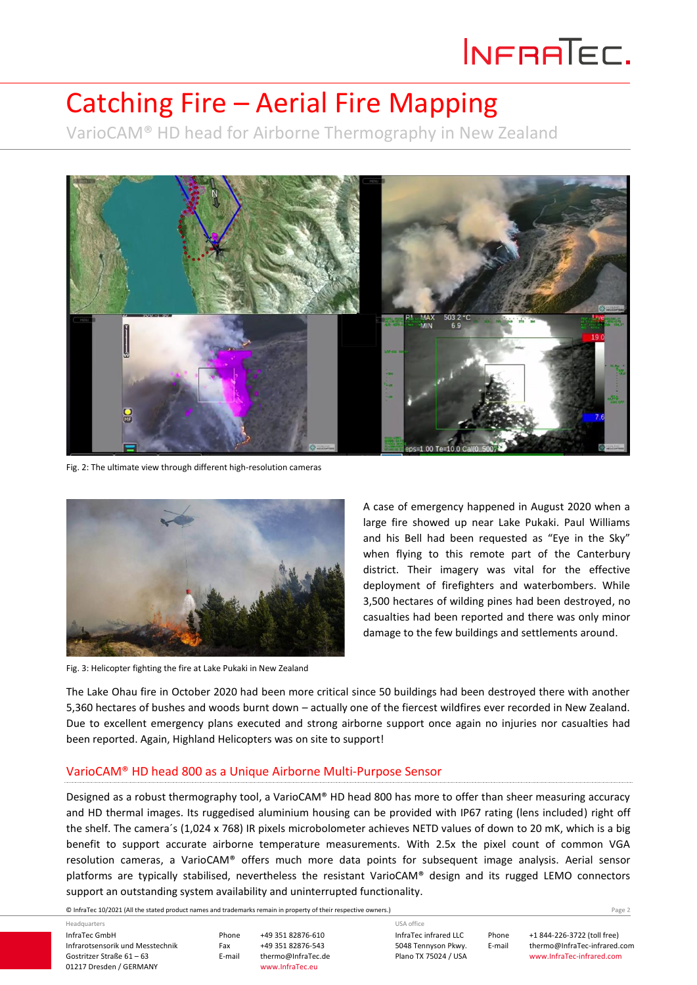# INFRATEC.

### Catching Fire – Aerial Fire Mapping

VarioCAM® HD head for Airborne Thermography in New Zealand



Fig. 2: The ultimate view through different high-resolution cameras



Fig. 3: Helicopter fighting the fire at Lake Pukaki in New Zealand

A case of emergency happened in August 2020 when a large fire showed up near Lake Pukaki. Paul Williams and his Bell had been requested as "Eye in the Sky" when flying to this remote part of the Canterbury district. Their imagery was vital for the effective deployment of firefighters and waterbombers. While 3,500 hectares of wilding pines had been destroyed, no casualties had been reported and there was only minor damage to the few buildings and settlements around.

The Lake Ohau fire in October 2020 had been more critical since 50 buildings had been destroyed there with another 5,360 hectares of bushes and woods burnt down – actually one of the fiercest wildfires ever recorded in New Zealand. Due to excellent emergency plans executed and strong airborne support once again no injuries nor casualties had been reported. Again, Highland Helicopters was on site to support!

#### VarioCAM® HD head 800 as a Unique Airborne Multi-Purpose Sensor

Designed as a robust thermography tool, a VarioCAM® HD head 800 has more to offer than sheer measuring accuracy and HD thermal images. Its ruggedised aluminium housing can be provided with IP67 rating (lens included) right off the shelf. The camera´s (1,024 x 768) IR pixels microbolometer achieves NETD values of down to 20 mK, which is a big benefit to support accurate airborne temperature measurements. With 2.5x the pixel count of common VGA resolution cameras, a VarioCAM® offers much more data points for subsequent image analysis. Aerial sensor platforms are typically stabilised, nevertheless the resistant VarioCAM® design and its rugged LEMO connectors support an outstanding system availability and uninterrupted functionality.

© InfraTec 10/2021 (All the stated product names and trademarks remain in property of their respective owners.) Page **2**

InfraTec GmbH Infrarotsensorik und Messtechnik Gostritzer Straße 61 – 63 01217 Dresden / GERMANY Headquarters

Phone +49 351 82876-610 Fax +49 351 82876-543<br>E-mail thermo@InfraTec.d thermo@InfraTec.de www.InfraTec.eu

InfraTec infrared LLC 5048 Tennyson Pkwy. Plano TX 75024 / USA USA office

Phone +1 844-226-3722 (toll free) E-mail thermo@InfraTec-infrared.com www.InfraTec-infrared.com